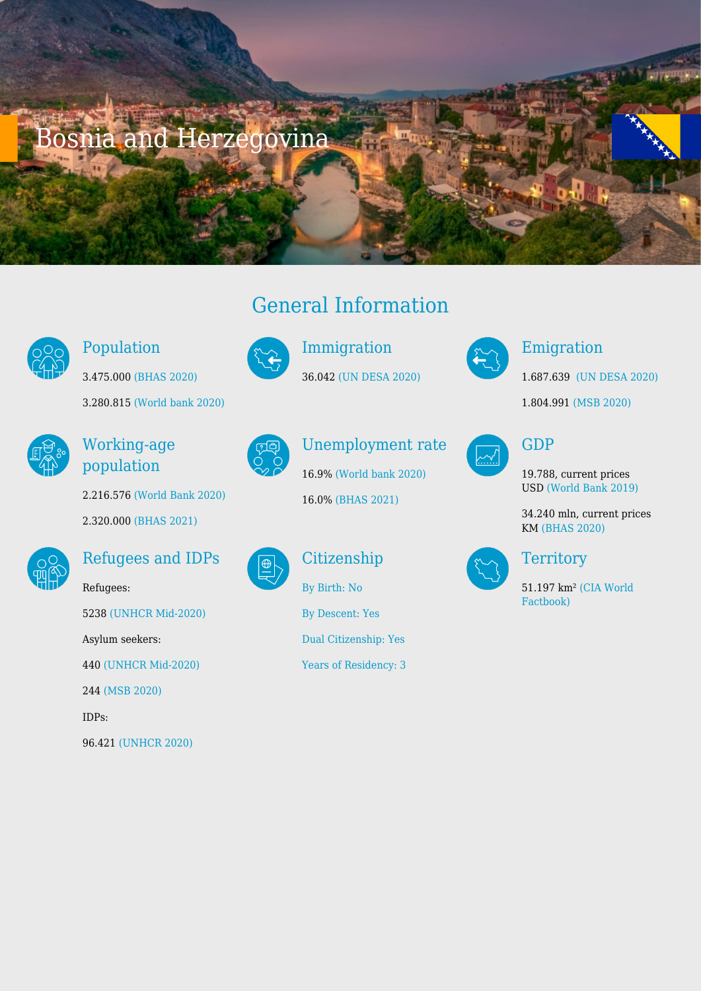# Bosnia and Herzegovina



#### Population

3.280.815 [\(World bank 2020\)](https://databank.worldbank.org/reports.aspx?source=2&series=SP.POP.TOTL&country=ALB,AUT,ARM,AZE,BLR,BEL,BIH,BGR,HRV,CYP,CZE,DNK,EST,FIN,FRA,GEO,DEU,GRC,HUN,IRL,ITA,KAZ,XKX,KGZ,LVA,LIE,LTU,LUX,MKD,MLT,MDA,MNE,NLD,NOR,POL,PRT,ROU,RUS,SRB,SVK,SVN,ESP,SWE,CHE,TJK,TUR,TKM,UKR,UZB)

3.475.000 [\(BHAS 2020\)](https://bhas.gov.ba/data/Publikacije/Bilteni/2021/DEM_00_2020_TB_1_BS.pdf)



### Working-age population

2.216.576 [\(World Bank 2020\)](https://databank.worldbank.org/reports.aspx?source=2&series=SP.POP.TOTL&country=ALB,AUT,ARM,AZE,BLR,BEL,BIH,BGR,HRV,CYP,CZE,DNK,EST,FIN,FRA,GEO,DEU,GRC,HUN,IRL,ITA,KAZ,XKX,KGZ,LVA,LIE,LTU,LUX,MKD,MLT,MDA,MNE,NLD,NOR,POL,PRT,ROU,RUS,SRB,SVK,SVN,ESP,SWE,CHE,TJK,TUR,TKM,UKR,UZB) 2.320.000 [\(BHAS 2021\)](https://bhas.gov.ba/data/Publikacije/VremenskeSerije/LAB_06.xls)



#### Refugees and IDPs

Refugees: 5238 [\(UNHCR Mid-2020\)](https://www.unhcr.org/refugee-statistics/download/?url=jWAn83) Asylum seekers: 440 [\(UNHCR Mid-2020\)](https://www.unhcr.org/refugee-statistics/download/?url=jWAn83) 244 [\(MSB 2020\)](http://www.msb.gov.ba/dokumenti/strateski/default.aspx?id=20510&langTag=en-US) IDPs: 96.421 [\(UNHCR 2020\)](https://www.unhcr.org/refugee-statistics/download/?url=jWAn83)





Immigration 36.042 [\(UN DESA 2020\)](https://www.un.org/development/desa/pd/content/international-migrant-stock)

Unemployment rate

16.9[% \(World bank 2020\)](https://databank.worldbank.org/reports.aspx?source=2&series=SP.POP.TOTL&country=ALB,AUT,ARM,AZE,BLR,BEL,BIH,BGR,HRV,CYP,CZE,DNK,EST,FIN,FRA,GEO,DEU,GRC,HUN,IRL,ITA,KAZ,XKX,KGZ,LVA,LIE,LTU,LUX,MKD,MLT,MDA,MNE,NLD,NOR,POL,PRT,ROU,RUS,SRB,SVK,SVN,ESP,SWE,CHE,TJK,TUR,TKM,UKR,UZB) 16.0% [\(BHAS 2021\)](https://bhas.gov.ba/data/Publikacije/VremenskeSerije/LAB_05.xls)



**Citizenship** 

[By Descent: Yes](http://globalcit.eu/acquisition-citizenship/)

[By Birth: No](http://globalcit.eu/acquisition-citizenship/)

[Dual Citizenship: Yes](http://globalcit.eu/acquisition-citizenship/)

[Years of Residency: 3](http://globalcit.eu/acquisition-citizenship/)



### Emigration

1.687.639 [\(UN DESA 2020\)](https://www.un.org/development/desa/pd/content/international-migrant-stock)

1.804.991 [\(MSB 2020\)](http://www.msb.gov.ba/dokumenti/strateski/default.aspx?id=20510&langTag=en-US)



#### GDP

19.788, current prices USD [\(World Bank 2019\)](https://databank.worldbank.org/reports.aspx?source=2&series=SP.POP.TOTL&country=ALB,AUT,ARM,AZE,BLR,BEL,BIH,BGR,HRV,CYP,CZE,DNK,EST,FIN,FRA,GEO,DEU,GRC,HUN,IRL,ITA,KAZ,XKX,KGZ,LVA,LIE,LTU,LUX,MKD,MLT,MDA,MNE,NLD,NOR,POL,PRT,ROU,RUS,SRB,SVK,SVN,ESP,SWE,CHE,TJK,TUR,TKM,UKR,UZB)

34.240 mln, current prices KM [\(BHAS 2020\)](https://bhas.gov.ba/data/Publikacije/Saopstenja/2021/NAC_02_2021_Q3_1_BS.pdf)



**Territory** 

51.197 km² [\(CIA World](https://www.cia.gov/library/publications/the-world-factbook/fields/2147.html#al) [Factbook\)](https://www.cia.gov/library/publications/the-world-factbook/fields/2147.html#al)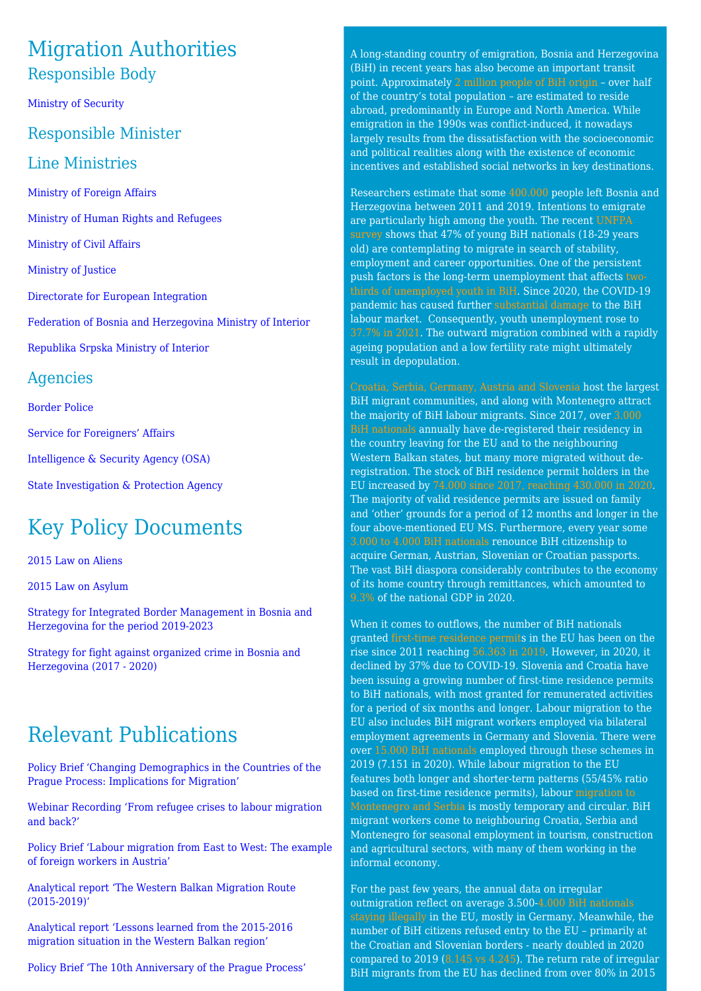## Migration Authorities Responsible Body

[Ministry of Security](http://www.msb.gov.ba/Language.aspx)

#### Responsible Minister

#### Line Ministries

[Ministry of Foreign Affairs](http://www.mvp.gov.ba/default.aspx?pageIndex=1)

[Ministry of Human Rights and Refugees](http://www.mhrr.gov.ba/default.aspx?langTag=bs-BA&template_id=127&pageIndex=1)

[Ministry of Civil Affairs](http://www.mcp.gov.ba/Language.aspx)

[Ministry of Justice](http://www.mpr.gov.ba/organizacija_nadleznosti/pravosudje/default.aspx?id=1115&langTag=en-US)

[Directorate for European Integration](https://www.dei.gov.ba/en/home)

[Federation of Bosnia and Herzegovina Ministry of Interior](http://www.fmup.gov.ba/v2/)

[Republika Srpska Ministry of Interior](https://mup.vladars.net/eng/index.php)

#### Agencies

[Border Police](http://www.granpol.gov.ba/?lang=en)

[Service for Foreigners' Affairs](http://sps.gov.ba/?lang=enhttp://sps.gov.ba/?lang=en)

[Intelligence & Security Agency \(OSA\)](http://www.osa-oba.gov.ba/indexe.html)

[State Investigation & Protection Agency](http://www.sipa.gov.ba/en)

# Key Policy Documents

[2015 Law on Aliens](http://msb.gov.ba/zakoni/zakoni/default.aspx?id=8278&langTag=en-US)

[2015 Law on Asylum](http://msb.gov.ba/zakoni/zakoni/default.aspx?id=8278&langTag=en-US)

[Strategy for Integrated Border Management in Bosnia and](http://msb.gov.ba/dokumenti/strateski/?id=19792) [Herzegovina for the period 2019-2023](http://msb.gov.ba/dokumenti/strateski/?id=19792)

[Strategy for fight against organized crime in Bosnia and](http://msb.gov.ba/PDF/strategy11122017.pdf) [Herzegovina \(2017 - 2020\)](http://msb.gov.ba/PDF/strategy11122017.pdf)

# Relevant Publications

[Policy Brief 'Changing Demographics in the Countries of the](https://www.pragueprocess.eu/en/resources/repository/34-briefs/303-changing-demographics-in-the-countries-of-the-prague-process-implications-for-migration) [Prague Process: Implications for Migration'](https://www.pragueprocess.eu/en/resources/repository/34-briefs/303-changing-demographics-in-the-countries-of-the-prague-process-implications-for-migration)

[Webinar Recording 'From refugee crises to labour migration](https://www.pragueprocess.eu/en/resources/repository/41-webinars/279-webinar-from-refugee-crises-to-labour-migration-and-back) [and back?'](https://www.pragueprocess.eu/en/resources/repository/41-webinars/279-webinar-from-refugee-crises-to-labour-migration-and-back)

[Policy Brief 'Labour migration from East to West: The example](https://www.pragueprocess.eu/en/resources/repository/34-briefs/226-labour-migration-from-east-to-west-the-example-of-foreign-workers-in-austria) [of foreign workers in Austria'](https://www.pragueprocess.eu/en/resources/repository/34-briefs/226-labour-migration-from-east-to-west-the-example-of-foreign-workers-in-austria)

[Analytical report 'The Western Balkan Migration Route](https://www.pragueprocess.eu/en/resources/repository/33-reports/289-the-western-balkan-migration-route-2015-2019) [\(2015-2019\)'](https://www.pragueprocess.eu/en/resources/repository/33-reports/289-the-western-balkan-migration-route-2015-2019)

[Analytical report 'Lessons learned from the 2015-2016](https://www.pragueprocess.eu/en/resources/repository/33-reports/180-lessons-learned-from-the-2015-2016-migration-situation-in-the-western-balkan-region) [migration situation in the Western Balkan region'](https://www.pragueprocess.eu/en/resources/repository/33-reports/180-lessons-learned-from-the-2015-2016-migration-situation-in-the-western-balkan-region)

[Policy Brief 'The 10th Anniversary of the Prague Process'](https://www.pragueprocess.eu/en/resources/repository/34-briefs/178-the-10th-anniversary-of-the-prague-process)

A long-standing country of emigration, Bosnia and Herzegovina (BiH) in recent years has also become an important transit point. Approximately [2 million people of BiH origin](https://dijaspora.mhrr.gov.ba/wp-content/uploads/2021/06/Bosnia-and-Herzegovina-Migration-Profile-for-the-year-2020..pdf) – over half of the country's total population – are estimated to reside abroad, predominantly in Europe and North America. While emigration in the 1990s was conflict-induced, it nowadays largely results from the dissatisfaction with the socioeconomic and political realities along with the existence of economic incentives and established social networks in key destinations.

Researchers estimate that some [400.000](https://www.etf.europa.eu/en/publications-and-resources/publications/how-migration-human-capital-and-labour-market-interact-1) people left Bosnia and Herzegovina between 2011 and 2019. Intentions to emigrate are particularly high among the youth. The recent [UNFPA](https://eeca.unfpa.org/sites/default/files/pub-pdf/youth_emigration_survey_in_bih_eng_final_1.pdf) [survey](https://eeca.unfpa.org/sites/default/files/pub-pdf/youth_emigration_survey_in_bih_eng_final_1.pdf) shows that 47% of young BiH nationals (18-29 years old) are contemplating to migrate in search of stability, employment and career opportunities. One of the persistent push factors is the long-term unemployment that affects [two](https://www.google.com/url?sa=t&rct=j&q=&esrc=s&source=web&cd=&cad=rja&uact=8&ved=2ahUKEwiO2NGr84b2AhWBC-wKHdk6BgIQFnoECAUQAQ&url=https%3A%2F%2Fwww.rcc.int%2Fdownload%2Fdocs%2FStudy-on-Youth-Employment-in-the%2520Western-Balkans-08072021.pdf%2F7464a4c82ee558440dfbea2e23028483.pdf&usg=AOvVaw18GX7a8CTtyxd-X2TE0_CJ)[thirds of unemployed youth in BiH](https://www.google.com/url?sa=t&rct=j&q=&esrc=s&source=web&cd=&cad=rja&uact=8&ved=2ahUKEwiO2NGr84b2AhWBC-wKHdk6BgIQFnoECAUQAQ&url=https%3A%2F%2Fwww.rcc.int%2Fdownload%2Fdocs%2FStudy-on-Youth-Employment-in-the%2520Western-Balkans-08072021.pdf%2F7464a4c82ee558440dfbea2e23028483.pdf&usg=AOvVaw18GX7a8CTtyxd-X2TE0_CJ). Since 2020, the COVID-19 pandemic has caused further [substantial damage](https://www.worldbank.org/en/region/eca/publication/western-balkans-regular-economic-report) to the BiH labour market. Consequently, youth unemployment rose to [37.7% in 2021.](https://www.google.com/url?sa=t&rct=j&q=&esrc=s&source=web&cd=&cad=rja&uact=8&ved=2ahUKEwj40fWL-ob2AhWB16QKHWFhAQ8QFnoECAUQAQ&url=https%3A%2F%2Fwww.worldbank.org%2Fen%2Fnews%2Fpress-release%2F2021%2F10%2F21%2Fas-economy-recovers-bosnia-and-herzegovina-should-focus-on-job-creation&usg=AOvVaw1wv2q7TCTnFqJxEKNSOkGq) The outward migration combined with a rapidly ageing population and a low fertility rate might ultimately result in depopulation.

[Croatia, Serbia, Germany, Austria and Slovenia](https://dijaspora.mhrr.gov.ba/wp-content/uploads/2021/06/Bosnia-and-Herzegovina-Migration-Profile-for-the-year-2020..pdf) host the largest BiH migrant communities, and along with Montenegro attract the majority of BiH labour migrants. Since 2017, over [3.000](https://dijaspora.mhrr.gov.ba/wp-content/uploads/2021/06/Bosnia-and-Herzegovina-Migration-Profile-for-the-year-2020..pdf) [BiH nationals](https://dijaspora.mhrr.gov.ba/wp-content/uploads/2021/06/Bosnia-and-Herzegovina-Migration-Profile-for-the-year-2020..pdf) annually have de-registered their residency in the country leaving for the EU and to the neighbouring Western Balkan states, but many more migrated without deregistration. The stock of BiH residence permit holders in the EU increased by [74.000 since 2017, reaching 430.000 in 2020](https://ec.europa.eu/eurostat/databrowser/view/MIGR_RESVALID__custom_2135740/default/table?lang=en). The majority of valid residence permits are issued on family and 'other' grounds for a period of 12 months and longer in the four above-mentioned EU MS. Furthermore, every year some [3.000 to 4.000 BiH nationals](https://dijaspora.mhrr.gov.ba/wp-content/uploads/2021/06/Bosnia-and-Herzegovina-Migration-Profile-for-the-year-2020..pdf) renounce BiH citizenship to acquire German, Austrian, Slovenian or Croatian passports. The vast BiH diaspora considerably contributes to the economy of its home country through remittances, which amounted to [9.3%](https://data.worldbank.org/indicator/BX.TRF.PWKR.DT.GD.ZS?locations=BA&most_recent_value_desc=true) of the national GDP in 2020.

When it comes to outflows, the number of BiH nationals granted [first-time residence permits](https://ec.europa.eu/eurostat/databrowser/view/MIGR_RESFIRST__custom_2132016/default/table?lang=en) in the EU has been on the rise since 2011 reaching [56.363 in 2019](https://ec.europa.eu/eurostat/databrowser/view/MIGR_RESFIRST__custom_2132016/default/table?lang=en). However, in 2020, it declined by 37% due to COVID-19. Slovenia and Croatia have been issuing a growing number of first-time residence permits to BiH nationals, with most granted for remunerated activities for a period of six months and longer. Labour migration to the EU also includes BiH migrant workers employed via bilateral employment agreements in Germany and Slovenia. There were over [15.000 BiH nationals](https://dijaspora.mhrr.gov.ba/wp-content/uploads/2021/06/Bosnia-and-Herzegovina-Migration-Profile-for-the-year-2020..pdf) employed through these schemes in 2019 (7.151 in 2020). While labour migration to the EU features both longer and shorter-term patterns (55/45% ratio based on first-time residence permits), labour [migration to](https://www.etf.europa.eu/en/publications-and-resources/publications/how-migration-human-capital-and-labour-market-interact-1) [Montenegro and Serbia](https://www.etf.europa.eu/en/publications-and-resources/publications/how-migration-human-capital-and-labour-market-interact-1) is mostly temporary and circular. BiH migrant workers come to neighbouring Croatia, Serbia and Montenegro for seasonal employment in tourism, construction and agricultural sectors, with many of them working in the informal economy.

For the past few years, the annual data on irregular outmigration reflect on average 3.500[-4.000 BiH nationals](https://ec.europa.eu/eurostat/databrowser/view/MIGR_EIPRE__custom_2137324/default/table?lang=en) [staying illegally](https://ec.europa.eu/eurostat/databrowser/view/MIGR_EIPRE__custom_2137324/default/table?lang=en) in the EU, mostly in Germany. Meanwhile, the number of BiH citizens refused entry to the EU – primarily at the Croatian and Slovenian borders - nearly doubled in 2020 compared to 2019 [\(8.145 vs 4.245](https://ec.europa.eu/eurostat/databrowser/view/MIGR_EIRFS__custom_2137282/default/table?lang=en)). The return rate of irregular BiH migrants from the EU has declined from over 80% in 2015